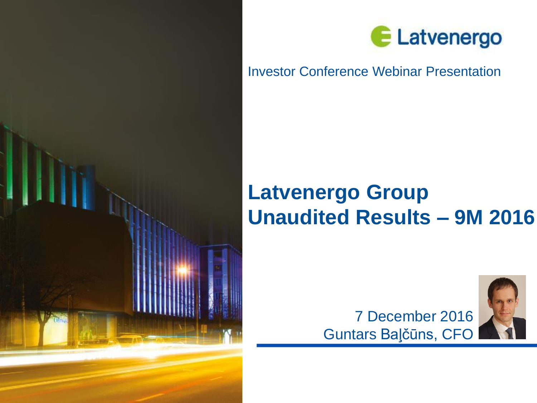



## Investor Conference Webinar Presentation

# **Latvenergo Group Unaudited Results – 9M 2016**



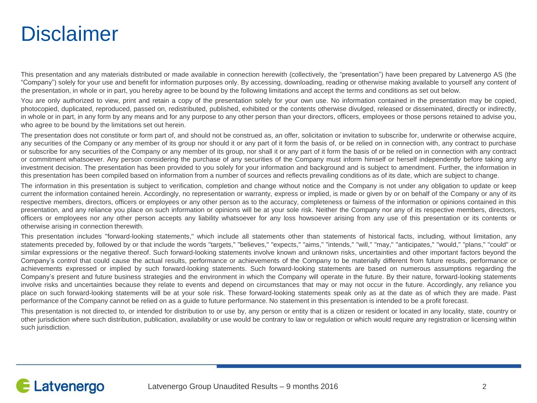# **Disclaimer**

This presentation and any materials distributed or made available in connection herewith (collectively, the "presentation") have been prepared by Latvenergo AS (the "Company") solely for your use and benefit for information purposes only. By accessing, downloading, reading or otherwise making available to yourself any content of the presentation, in whole or in part, you hereby agree to be bound by the following limitations and accept the terms and conditions as set out below.

You are only authorized to view, print and retain a copy of the presentation solely for your own use. No information contained in the presentation may be copied, photocopied, duplicated, reproduced, passed on, redistributed, published, exhibited or the contents otherwise divulged, released or disseminated, directly or indirectly, in whole or in part, in any form by any means and for any purpose to any other person than your directors, officers, employees or those persons retained to advise you, who agree to be bound by the limitations set out herein.

The presentation does not constitute or form part of, and should not be construed as, an offer, solicitation or invitation to subscribe for, underwrite or otherwise acquire, any securities of the Company or any member of its group nor should it or any part of it form the basis of, or be relied on in connection with, any contract to purchase or subscribe for any securities of the Company or any member of its group, nor shall it or any part of it form the basis of or be relied on in connection with any contract or commitment whatsoever. Any person considering the purchase of any securities of the Company must inform himself or herself independently before taking any investment decision. The presentation has been provided to you solely for your information and background and is subject to amendment. Further, the information in this presentation has been compiled based on information from a number of sources and reflects prevailing conditions as of its date, which are subject to change.

The information in this presentation is subject to verification, completion and change without notice and the Company is not under any obligation to update or keep current the information contained herein. Accordingly, no representation or warranty, express or implied, is made or given by or on behalf of the Company or any of its respective members, directors, officers or employees or any other person as to the accuracy, completeness or fairness of the information or opinions contained in this presentation, and any reliance you place on such information or opinions will be at your sole risk. Neither the Company nor any of its respective members, directors, officers or employees nor any other person accepts any liability whatsoever for any loss howsoever arising from any use of this presentation or its contents or otherwise arising in connection therewith.

This presentation includes "forward-looking statements," which include all statements other than statements of historical facts, including, without limitation, any statements preceded by, followed by or that include the words "targets," "believes," "expects," "aims," "intends," "will," "may," "anticipates," "would," "plans," "could" or similar expressions or the negative thereof. Such forward-looking statements involve known and unknown risks, uncertainties and other important factors beyond the Company's control that could cause the actual results, performance or achievements of the Company to be materially different from future results, performance or achievements expressed or implied by such forward-looking statements. Such forward-looking statements are based on numerous assumptions regarding the Company's present and future business strategies and the environment in which the Company will operate in the future. By their nature, forward-looking statements involve risks and uncertainties because they relate to events and depend on circumstances that may or may not occur in the future. Accordingly, any reliance you place on such forward-looking statements will be at your sole risk. These forward-looking statements speak only as at the date as of which they are made. Past performance of the Company cannot be relied on as a guide to future performance. No statement in this presentation is intended to be a profit forecast.

This presentation is not directed to, or intended for distribution to or use by, any person or entity that is a citizen or resident or located in any locality, state, country or other jurisdiction where such distribution, publication, availability or use would be contrary to law or regulation or which would require any registration or licensing within such jurisdiction.

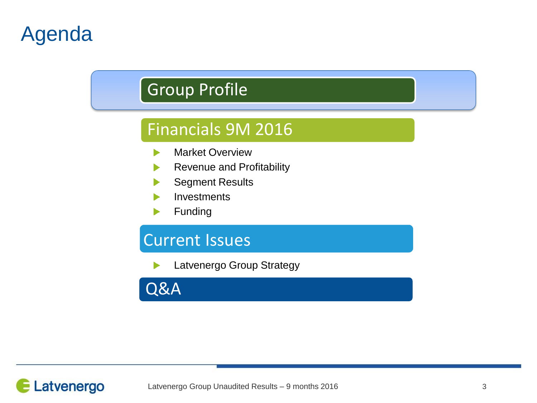# Agenda

## Group Profile

## Financials 9M 2016

- Market Overview ь
- Revenue and Profitability
- Segment Results
- **Investments**
- Funding

## Current Issues

Latvenergo Group Strategy

Q&A

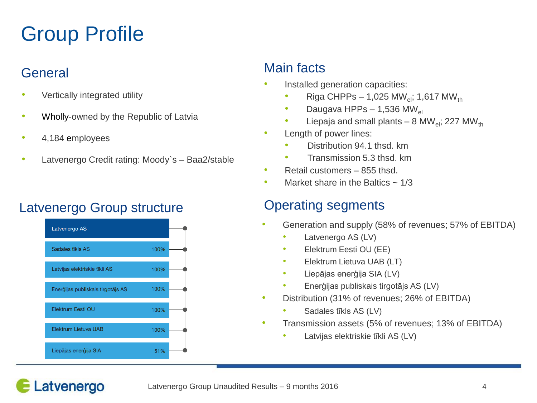# Group Profile

## **General**

- Vertically integrated utility
- Wholly-owned by the Republic of Latvia
- 4,184 employees
- Latvenergo Credit rating: Moody's Baa2/stable

## Latvenergo Group structure **Conservation Containst Conservation** Conservation Cataloguents



## Main facts

- Installed generation capacities:
	- Riga CHPPs 1,025 MW<sub>ol</sub>; 1,617 MW<sub>th</sub>
	- Daugava HPPs 1,536 MW<sub>el</sub>
	- Liepaja and small plants 8 MW<sub>el</sub>; 227 MW<sub>th</sub>
- Length of power lines:
	- Distribution 94.1 thsd. km
	- Transmission 5.3 thsd. km
- Retail customers 855 thsd.
- Market share in the Baltics  $\sim 1/3$

- Generation and supply (58% of revenues; 57% of EBITDA)
	- Latvenergo AS (LV)
	- Elektrum Eesti OU (EE)
	- Elektrum Lietuva UAB (LT)
	- Liepājas enerģija SIA (LV)
	- Enerģijas publiskais tirgotājs AS (LV)
- Distribution (31% of revenues; 26% of EBITDA)
	- Sadales tīkls AS (LV)
- Transmission assets (5% of revenues; 13% of EBITDA)
	- Latvijas elektriskie tīkli AS (LV)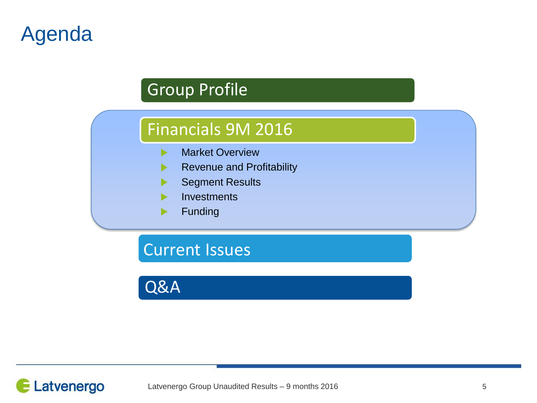# Agenda

## Group Profile

## Financials 9M 2016

- Market Overview ь
- Revenue and Profitability  $\blacktriangleright$
- Segment Results
- **Investments**
- Funding▶

Current Issues

Q&A

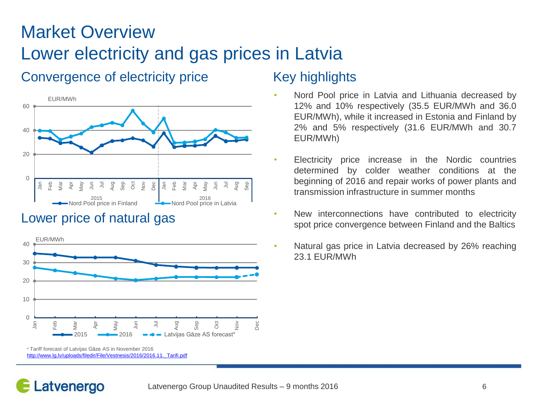## Market Overview Lower electricity and gas prices in Latvia

## Convergence of electricity price Key highlights



### Lower price of natural gas



<sup>\*</sup> Tariff forecast of Latvijas Gāze AS in November 2016 [http://www.lg.lv/uploads/filedir/File/Vestnesis/2016/2016.11.\\_Tarifi.pdf](http://www.lg.lv/uploads/filedir/File/Vestnesis/2016/2016.11._Tarifi.pdf)

- Nord Pool price in Latvia and Lithuania decreased by 12% and 10% respectively (35.5 EUR/MWh and 36.0 EUR/MWh), while it increased in Estonia and Finland by 2% and 5% respectively (31.6 EUR/MWh and 30.7 EUR/MWh)
- Electricity price increase in the Nordic countries determined by colder weather conditions at the beginning of 2016 and repair works of power plants and transmission infrastructure in summer months
- New interconnections have contributed to electricity spot price convergence between Finland and the Baltics
- Natural gas price in Latvia decreased by 26% reaching 23.1 EUR/MWh

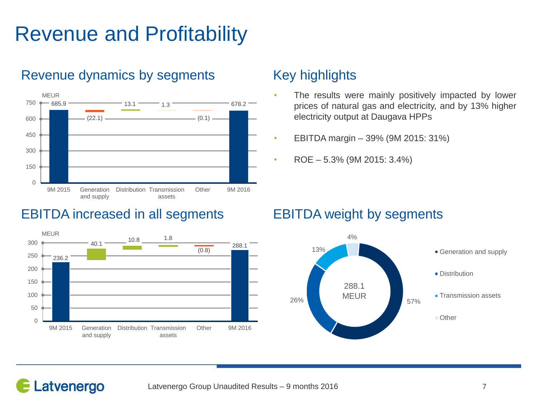# Revenue and Profitability



## Revenue dynamics by segments Key highlights

## EBITDA increased in all segments EBITDA weight by segments



- The results were mainly positively impacted by lower prices of natural gas and electricity, and by 13% higher electricity output at Daugava HPPs
- EBITDA margin 39% (9M 2015: 31%)
- ROE 5.3% (9M 2015: 3.4%)

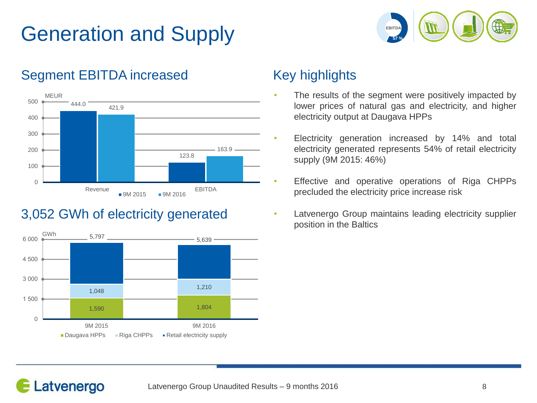# Generation and Supply



## Segment EBITDA increased Key highlights



## 3,052 GWh of electricity generated



- The results of the segment were positively impacted by lower prices of natural gas and electricity, and higher electricity output at Daugava HPPs
- Electricity generation increased by 14% and total electricity generated represents 54% of retail electricity supply (9M 2015: 46%)
- Effective and operative operations of Riga CHPPs precluded the electricity price increase risk
- Latvenergo Group maintains leading electricity supplier position in the Baltics

## Latvenergo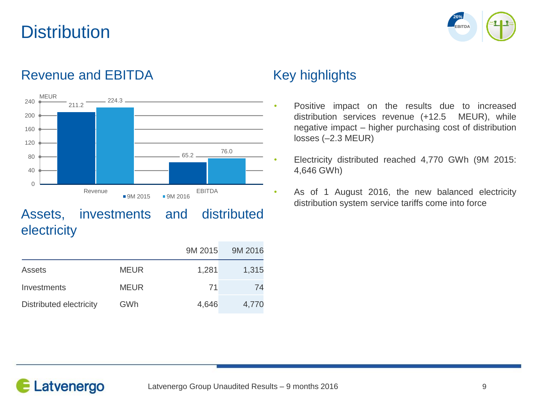## **Distribution**



## Revenue and EBITDA Key highlights



Assets, investments and distributed **electricity** 

|                         |             | 9M 2015 | 9M 2016 |
|-------------------------|-------------|---------|---------|
| Assets                  | <b>MEUR</b> | 1,281   | 1,315   |
| Investments             | <b>MEUR</b> | 71      | 74      |
| Distributed electricity | GWh         | 4,646   | 4,770   |

- Positive impact on the results due to increased distribution services revenue (+12.5 MEUR), while negative impact – higher purchasing cost of distribution losses (–2.3 MEUR)
- Electricity distributed reached 4,770 GWh (9M 2015: 4,646 GWh)
- As of 1 August 2016, the new balanced electricity distribution system service tariffs come into force

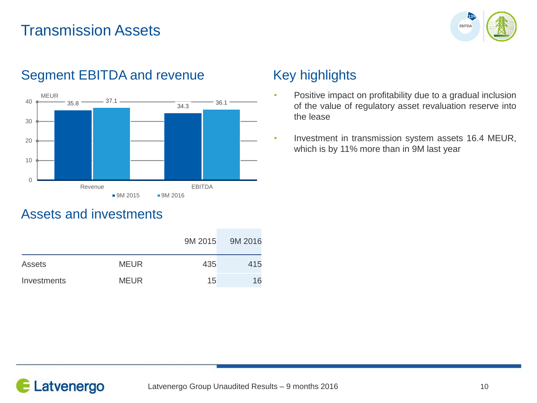## Transmission Assets





## Segment EBITDA and revenue Key highlights

- Positive impact on profitability due to a gradual inclusion of the value of regulatory asset revaluation reserve into the lease
- Investment in transmission system assets 16.4 MEUR, which is by 11% more than in 9M last year

### Assets and investments

|             |             | 9M 2015 | 9M 2016 |
|-------------|-------------|---------|---------|
| Assets      | <b>MEUR</b> | 435     | 415     |
| Investments | <b>MEUR</b> | 15      | 16      |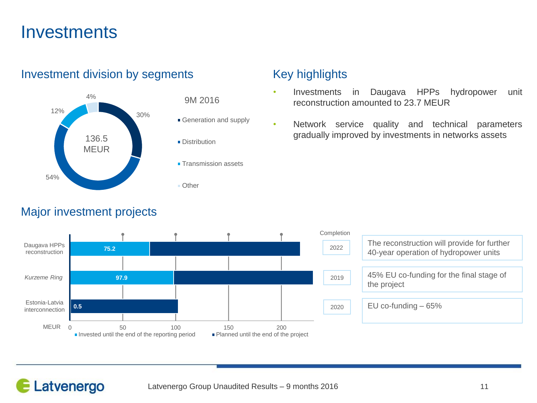## **Investments**



### Investment division by segments Key highlights

- Investments in Daugava HPPs hydropower unit reconstruction amounted to 23.7 MEUR
- Network service quality and technical parameters gradually improved by investments in networks assets



### Major investment projects

Latvenergo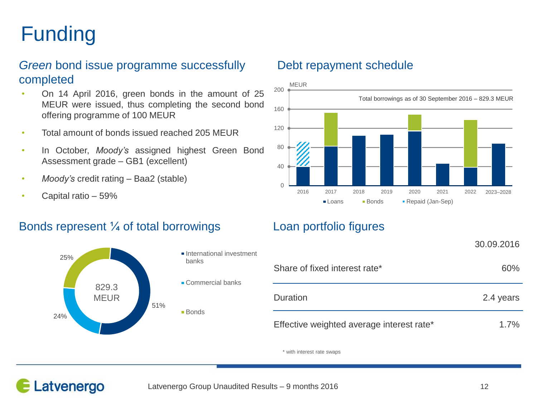# Funding

### *Green* bond issue programme successfully completed

- On 14 April 2016, green bonds in the amount of 25 MEUR were issued, thus completing the second bond offering programme of 100 MEUR
- Total amount of bonds issued reached 205 MEUR
- In October, *Moody's* assigned highest Green Bond Assessment grade – GB1 (excellent)
- *Moody's* credit rating Baa2 (stable)
- Capital ratio 59%

### Bonds represent ¼ of total borrowings Loan portfolio figures



### Debt repayment schedule



|                                           | 30.09.2016 |
|-------------------------------------------|------------|
| Share of fixed interest rate*             | 60%        |
| Duration                                  | 2.4 years  |
| Effective weighted average interest rate* | 1.7%       |

\* with interest rate swaps

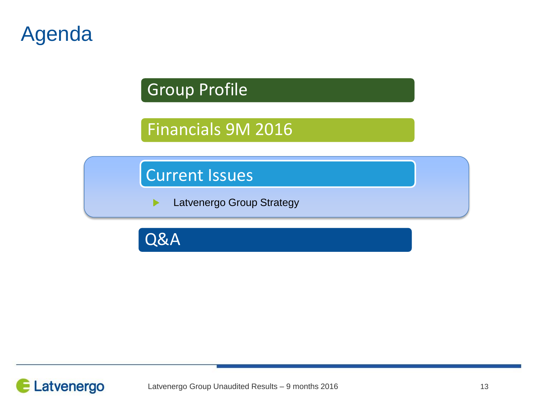# Agenda

## Group Profile

## Financials 9M 2016

Current Issues

Latvenergo Group Strategy ▶

Q&A

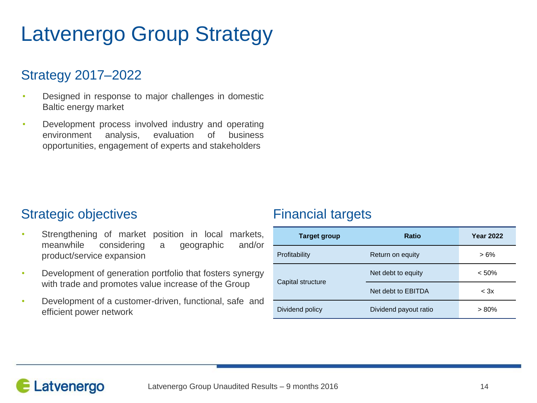# Latvenergo Group Strategy

## Strategy 2017–2022

- Designed in response to major challenges in domestic Baltic energy market
- Development process involved industry and operating environment analysis, evaluation of business opportunities, engagement of experts and stakeholders

### Strategic objectives **Financial** targets

- Strengthening of market position in local markets, meanwhile considering a geographic and/or product/service expansion
- Development of generation portfolio that fosters synergy with trade and promotes value increase of the Group
- Development of a customer-driven, functional, safe and efficient power network

| <b>Target group</b> | <b>Ratio</b>          | <b>Year 2022</b> |
|---------------------|-----------------------|------------------|
| Profitability       | Return on equity      | $>6\%$           |
| Capital structure   | Net debt to equity    | < 50%            |
|                     | Net debt to EBITDA    | $<$ 3 $\times$   |
| Dividend policy     | Dividend payout ratio | $> 80\%$         |

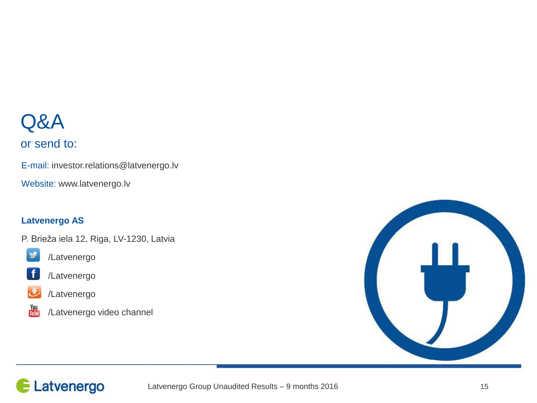# Q&A

### or send to:

E-mail: investor.relations@latvenergo.lv

Website: www.latvenergo.lv

### **Latvenergo AS**

P. Brieža iela 12, Riga, LV-1230, Latvia



/Latvenergo



/Latvenergo



/Latvenergo



/Latvenergo video channel



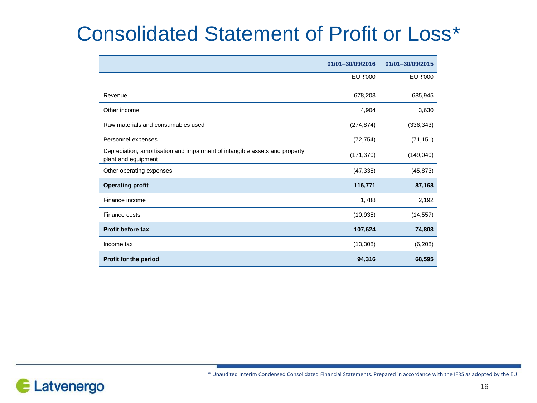# Consolidated Statement of Profit or Loss\*

|                                                                                                     | 01/01-30/09/2016 | 01/01-30/09/2015 |
|-----------------------------------------------------------------------------------------------------|------------------|------------------|
|                                                                                                     | <b>EUR'000</b>   | <b>EUR'000</b>   |
| Revenue                                                                                             | 678,203          | 685,945          |
| Other income                                                                                        | 4,904            | 3,630            |
| Raw materials and consumables used                                                                  | (274, 874)       | (336, 343)       |
| Personnel expenses                                                                                  | (72, 754)        | (71, 151)        |
| Depreciation, amortisation and impairment of intangible assets and property,<br>plant and equipment | (171, 370)       | (149, 040)       |
| Other operating expenses                                                                            | (47, 338)        | (45, 873)        |
| <b>Operating profit</b>                                                                             | 116,771          | 87,168           |
| Finance income                                                                                      | 1,788            | 2,192            |
| Finance costs                                                                                       | (10, 935)        | (14, 557)        |
| <b>Profit before tax</b>                                                                            | 107,624          | 74,803           |
| Income tax                                                                                          | (13, 308)        | (6,208)          |
| Profit for the period                                                                               | 94,316           | 68,595           |



\* Unaudited Interim Condensed Consolidated Financial Statements. Prepared in accordance with the IFRS as adopted by the EU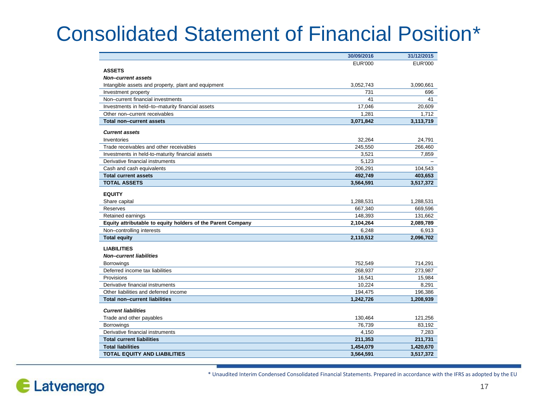# Consolidated Statement of Financial Position\*

|                                                             | 30/09/2016         | 31/12/2015         |
|-------------------------------------------------------------|--------------------|--------------------|
|                                                             | <b>EUR'000</b>     | <b>EUR'000</b>     |
| <b>ASSETS</b>                                               |                    |                    |
| <b>Non-current assets</b>                                   |                    |                    |
| Intangible assets and property, plant and equipment         | 3,052,743          | 3,090,661          |
| Investment property                                         | 731                | 696                |
| Non-current financial investments                           | 41                 | 41                 |
| Investments in held-to-maturity financial assets            | 17,046             | 20,609             |
| Other non-current receivables                               | 1.281              | 1.712              |
| <b>Total non-current assets</b>                             | 3,071,842          | 3,113,719          |
| <b>Current assets</b>                                       |                    |                    |
|                                                             | 32.264             | 24.791             |
| Inventories<br>Trade receivables and other receivables      | 245,550            | 266,460            |
| Investments in held-to-maturity financial assets            | 3.521              | 7.859              |
| Derivative financial instruments                            | 5,123              |                    |
|                                                             |                    |                    |
| Cash and cash equivalents<br><b>Total current assets</b>    | 206,291<br>492.749 | 104,543<br>403,653 |
| <b>TOTAL ASSETS</b>                                         | 3,564,591          | 3,517,372          |
|                                                             |                    |                    |
| <b>EQUITY</b>                                               |                    |                    |
| Share capital                                               | 1,288,531          | 1,288,531          |
| Reserves                                                    | 667,340            | 669,596            |
| Retained earnings                                           | 148,393            | 131,662            |
| Equity attributable to equity holders of the Parent Company | 2,104,264          | 2,089,789          |
| Non-controlling interests                                   | 6,248              | 6,913              |
| <b>Total equity</b>                                         | 2,110,512          | 2,096,702          |
| <b>LIABILITIES</b>                                          |                    |                    |
| <b>Non-current liabilities</b>                              |                    |                    |
| <b>Borrowings</b>                                           | 752,549            | 714,291            |
| Deferred income tax liabilities                             | 268,937            | 273,987            |
| Provisions                                                  | 16,541             | 15,984             |
| Derivative financial instruments                            | 10,224             | 8,291              |
| Other liabilities and deferred income                       | 194,475            | 196,386            |
| <b>Total non-current liabilities</b>                        | 1,242,726          | 1,208,939          |
|                                                             |                    |                    |
| <b>Current liabilities</b>                                  |                    |                    |
| Trade and other payables                                    | 130,464            | 121,256            |
| <b>Borrowings</b>                                           | 76,739             | 83,192             |
| Derivative financial instruments                            | 4,150              | 7,283              |
| <b>Total current liabilities</b>                            | 211,353            | 211,731            |
| <b>Total liabilities</b>                                    | 1,454,079          | 1,420,670          |
| <b>TOTAL EQUITY AND LIABILITIES</b>                         | 3,564,591          | 3,517,372          |

\* Unaudited Interim Condensed Consolidated Financial Statements. Prepared in accordance with the IFRS as adopted by the EU